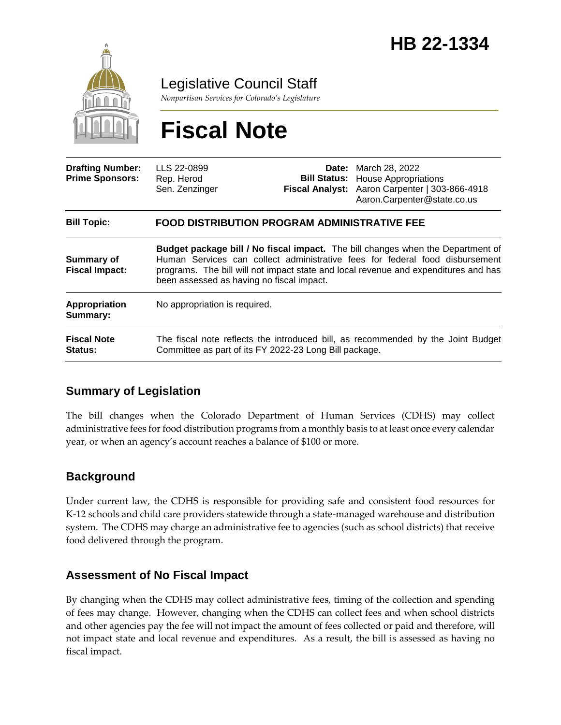

Legislative Council Staff

*Nonpartisan Services for Colorado's Legislature*

# **Fiscal Note**

| <b>Drafting Number:</b><br><b>Prime Sponsors:</b> | LLS 22-0899<br>Rep. Herod<br>Sen. Zenzinger                                                                                                                                                                                                                                                                |  | <b>Date:</b> March 28, 2022<br><b>Bill Status:</b> House Appropriations<br>Fiscal Analyst: Aaron Carpenter   303-866-4918<br>Aaron.Carpenter@state.co.us |
|---------------------------------------------------|------------------------------------------------------------------------------------------------------------------------------------------------------------------------------------------------------------------------------------------------------------------------------------------------------------|--|----------------------------------------------------------------------------------------------------------------------------------------------------------|
| <b>Bill Topic:</b>                                | <b>FOOD DISTRIBUTION PROGRAM ADMINISTRATIVE FEE</b>                                                                                                                                                                                                                                                        |  |                                                                                                                                                          |
| Summary of<br><b>Fiscal Impact:</b>               | <b>Budget package bill / No fiscal impact.</b> The bill changes when the Department of<br>Human Services can collect administrative fees for federal food disbursement<br>programs. The bill will not impact state and local revenue and expenditures and has<br>been assessed as having no fiscal impact. |  |                                                                                                                                                          |
| Appropriation<br>Summary:                         | No appropriation is required.                                                                                                                                                                                                                                                                              |  |                                                                                                                                                          |
| <b>Fiscal Note</b><br><b>Status:</b>              | The fiscal note reflects the introduced bill, as recommended by the Joint Budget<br>Committee as part of its FY 2022-23 Long Bill package.                                                                                                                                                                 |  |                                                                                                                                                          |

## **Summary of Legislation**

The bill changes when the Colorado Department of Human Services (CDHS) may collect administrative fees for food distribution programs from a monthly basis to at least once every calendar year, or when an agency's account reaches a balance of \$100 or more.

## **Background**

Under current law, the CDHS is responsible for providing safe and consistent food resources for K-12 schools and child care providers statewide through a state-managed warehouse and distribution system. The CDHS may charge an administrative fee to agencies (such as school districts) that receive food delivered through the program.

## **Assessment of No Fiscal Impact**

By changing when the CDHS may collect administrative fees, timing of the collection and spending of fees may change. However, changing when the CDHS can collect fees and when school districts and other agencies pay the fee will not impact the amount of fees collected or paid and therefore, will not impact state and local revenue and expenditures. As a result, the bill is assessed as having no fiscal impact.